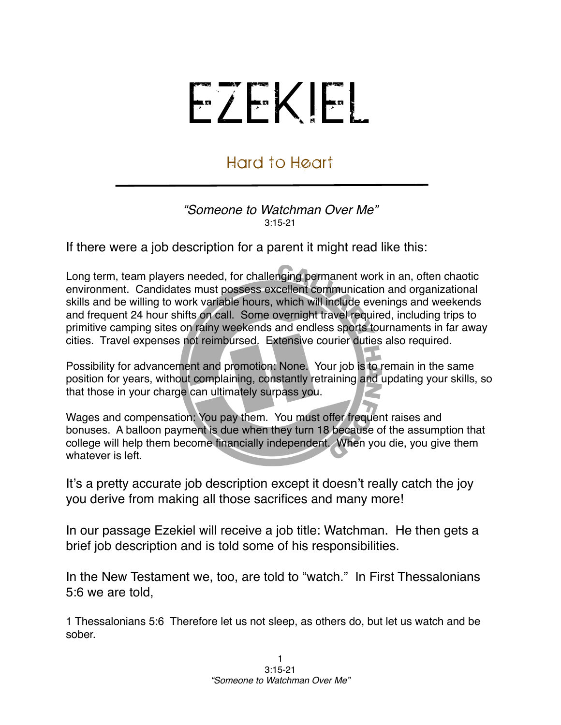## EZEKIEL

## Hard to Heart

## *"Someone to Watchman Over Me"* 3:15-21

If there were a job description for a parent it might read like this:

Long term, team players needed, for challenging permanent work in an, often chaotic environment. Candidates must possess excellent communication and organizational skills and be willing to work variable hours, which will include evenings and weekends and frequent 24 hour shifts on call. Some overnight travel required, including trips to primitive camping sites on rainy weekends and endless sports tournaments in far away cities. Travel expenses not reimbursed. Extensive courier duties also required.

Possibility for advancement and promotion: None. Your job is to remain in the same position for years, without complaining, constantly retraining and updating your skills, so that those in your charge can ultimately surpass you.

Wages and compensation: You pay them. You must offer frequent raises and bonuses. A balloon payment is due when they turn 18 because of the assumption that college will help them become financially independent. When you die, you give them whatever is left.

It's a pretty accurate job description except it doesn't really catch the joy you derive from making all those sacrifices and many more!

In our passage Ezekiel will receive a job title: Watchman. He then gets a brief job description and is told some of his responsibilities.

In the New Testament we, too, are told to "watch." In First Thessalonians 5:6 we are told,

1 Thessalonians 5:6 Therefore let us not sleep, as others do, but let us watch and be sober.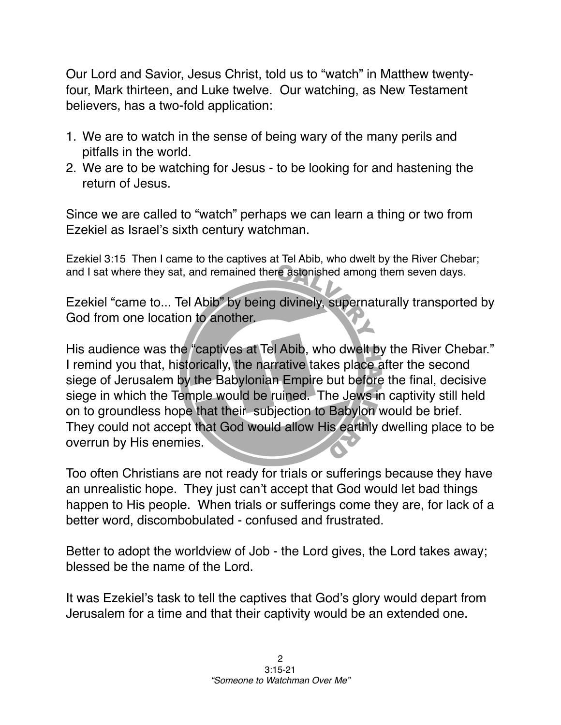Our Lord and Savior, Jesus Christ, told us to "watch" in Matthew twentyfour, Mark thirteen, and Luke twelve. Our watching, as New Testament believers, has a two-fold application:

- 1. We are to watch in the sense of being wary of the many perils and pitfalls in the world.
- 2. We are to be watching for Jesus to be looking for and hastening the return of Jesus.

Since we are called to "watch" perhaps we can learn a thing or two from Ezekiel as Israel's sixth century watchman.

Ezekiel 3:15 Then I came to the captives at Tel Abib, who dwelt by the River Chebar; and I sat where they sat, and remained there astonished among them seven days.

Ezekiel "came to... Tel Abib" by being divinely, supernaturally transported by God from one location to another.

His audience was the "captives at Tel Abib, who dwelt by the River Chebar." I remind you that, historically, the narrative takes place after the second siege of Jerusalem by the Babylonian Empire but before the final, decisive siege in which the Temple would be ruined. The Jews in captivity still held on to groundless hope that their subjection to Babylon would be brief. They could not accept that God would allow His earthly dwelling place to be overrun by His enemies.

Too often Christians are not ready for trials or sufferings because they have an unrealistic hope. They just can't accept that God would let bad things happen to His people. When trials or sufferings come they are, for lack of a better word, discombobulated - confused and frustrated.

Better to adopt the worldview of Job - the Lord gives, the Lord takes away; blessed be the name of the Lord.

It was Ezekiel's task to tell the captives that God's glory would depart from Jerusalem for a time and that their captivity would be an extended one.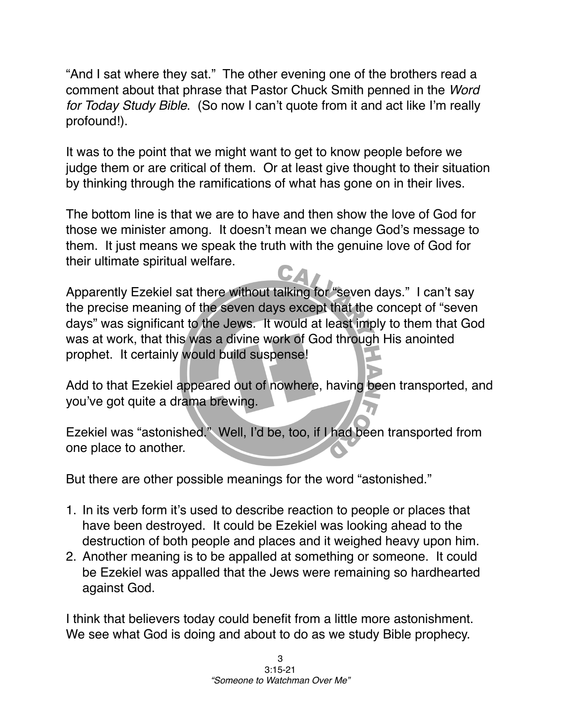"And I sat where they sat." The other evening one of the brothers read a comment about that phrase that Pastor Chuck Smith penned in the *Word for Today Study Bible*. (So now I can't quote from it and act like I'm really profound!).

It was to the point that we might want to get to know people before we judge them or are critical of them. Or at least give thought to their situation by thinking through the ramifications of what has gone on in their lives.

The bottom line is that we are to have and then show the love of God for those we minister among. It doesn't mean we change God's message to them. It just means we speak the truth with the genuine love of God for their ultimate spiritual welfare.

Apparently Ezekiel sat there without talking for "seven days." I can't say the precise meaning of the seven days except that the concept of "seven days" was significant to the Jews. It would at least imply to them that God was at work, that this was a divine work of God through His anointed prophet. It certainly would build suspense!

Add to that Ezekiel appeared out of nowhere, having been transported, and you've got quite a drama brewing.

Ezekiel was "astonished." Well, I'd be, too, if I had been transported from one place to another.

But there are other possible meanings for the word "astonished."

- 1. In its verb form it's used to describe reaction to people or places that have been destroyed. It could be Ezekiel was looking ahead to the destruction of both people and places and it weighed heavy upon him.
- 2. Another meaning is to be appalled at something or someone. It could be Ezekiel was appalled that the Jews were remaining so hardhearted against God.

I think that believers today could benefit from a little more astonishment. We see what God is doing and about to do as we study Bible prophecy.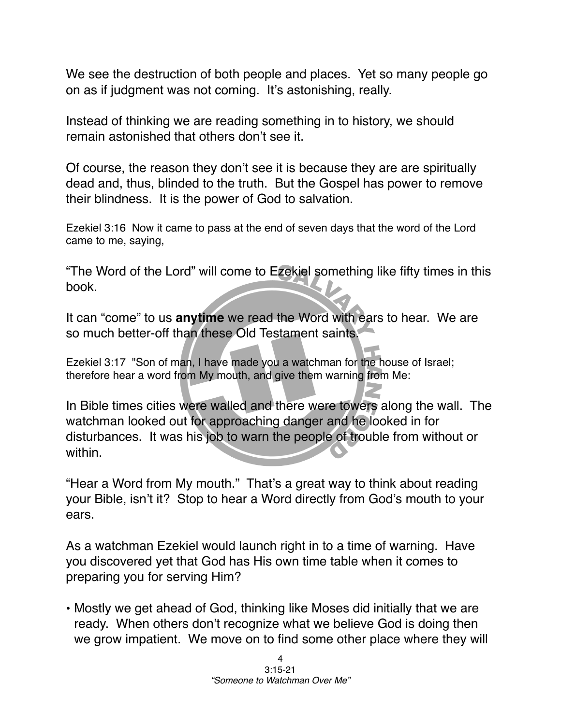We see the destruction of both people and places. Yet so many people go on as if judgment was not coming. It's astonishing, really.

Instead of thinking we are reading something in to history, we should remain astonished that others don't see it.

Of course, the reason they don't see it is because they are are spiritually dead and, thus, blinded to the truth. But the Gospel has power to remove their blindness. It is the power of God to salvation.

Ezekiel 3:16 Now it came to pass at the end of seven days that the word of the Lord came to me, saying,

"The Word of the Lord" will come to Ezekiel something like fifty times in this book.

It can "come" to us **anytime** we read the Word with ears to hear. We are so much better-off than these Old Testament saints.

Ezekiel 3:17 "Son of man, I have made you a watchman for the house of Israel; therefore hear a word from My mouth, and give them warning from Me:

In Bible times cities were walled and there were towers along the wall. The watchman looked out for approaching danger and he looked in for disturbances. It was his job to warn the people of trouble from without or within.

"Hear a Word from My mouth." That's a great way to think about reading your Bible, isn't it? Stop to hear a Word directly from God's mouth to your ears.

As a watchman Ezekiel would launch right in to a time of warning. Have you discovered yet that God has His own time table when it comes to preparing you for serving Him?

• Mostly we get ahead of God, thinking like Moses did initially that we are ready. When others don't recognize what we believe God is doing then we grow impatient. We move on to find some other place where they will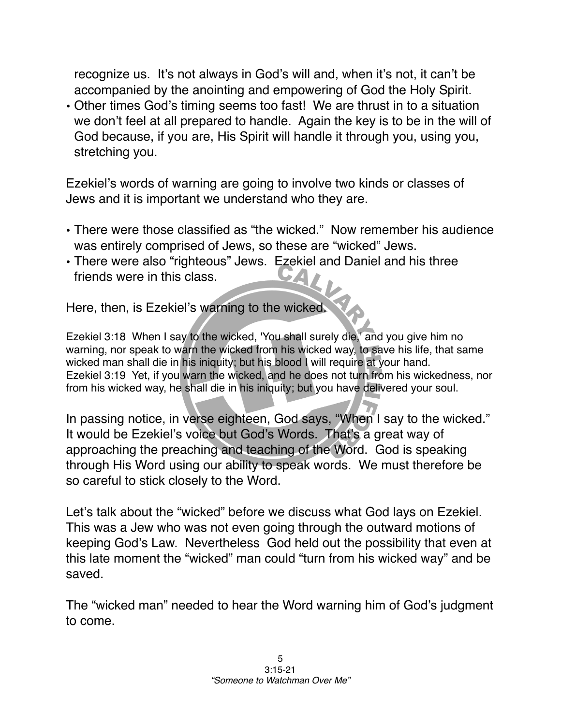recognize us. It's not always in God's will and, when it's not, it can't be accompanied by the anointing and empowering of God the Holy Spirit.

• Other times God's timing seems too fast! We are thrust in to a situation we don't feel at all prepared to handle. Again the key is to be in the will of God because, if you are, His Spirit will handle it through you, using you, stretching you.

Ezekiel's words of warning are going to involve two kinds or classes of Jews and it is important we understand who they are.

- There were those classified as "the wicked." Now remember his audience was entirely comprised of Jews, so these are "wicked" Jews.
- There were also "righteous" Jews. Ezekiel and Daniel and his three friends were in this class.

Here, then, is Ezekiel's warning to the wicked.

Ezekiel 3:18 When I say to the wicked, 'You shall surely die,' and you give him no warning, nor speak to warn the wicked from his wicked way, to save his life, that same wicked man shall die in his iniquity; but his blood I will require at your hand. Ezekiel 3:19 Yet, if you warn the wicked, and he does not turn from his wickedness, nor from his wicked way, he shall die in his iniquity; but you have delivered your soul.

In passing notice, in verse eighteen, God says, "When I say to the wicked." It would be Ezekiel's voice but God's Words. That's a great way of approaching the preaching and teaching of the Word. God is speaking through His Word using our ability to speak words. We must therefore be so careful to stick closely to the Word.

Let's talk about the "wicked" before we discuss what God lays on Ezekiel. This was a Jew who was not even going through the outward motions of keeping God's Law. Nevertheless God held out the possibility that even at this late moment the "wicked" man could "turn from his wicked way" and be saved.

The "wicked man" needed to hear the Word warning him of God's judgment to come.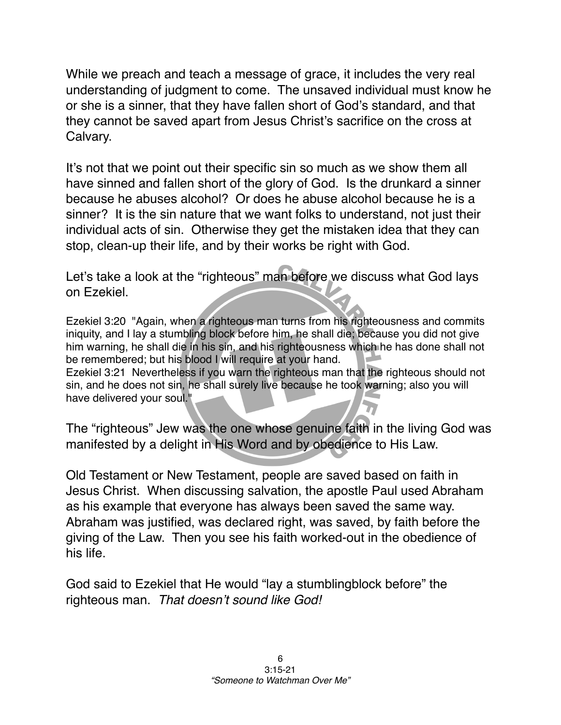While we preach and teach a message of grace, it includes the very real understanding of judgment to come. The unsaved individual must know he or she is a sinner, that they have fallen short of God's standard, and that they cannot be saved apart from Jesus Christ's sacrifice on the cross at Calvary.

It's not that we point out their specific sin so much as we show them all have sinned and fallen short of the glory of God. Is the drunkard a sinner because he abuses alcohol? Or does he abuse alcohol because he is a sinner? It is the sin nature that we want folks to understand, not just their individual acts of sin. Otherwise they get the mistaken idea that they can stop, clean-up their life, and by their works be right with God.

Let's take a look at the "righteous" man before we discuss what God lays on Ezekiel.

Ezekiel 3:20 "Again, when a righteous man turns from his righteousness and commits iniquity, and I lay a stumbling block before him, he shall die; because you did not give him warning, he shall die in his sin, and his righteousness which he has done shall not be remembered; but his blood I will require at your hand. Ezekiel 3:21 Nevertheless if you warn the righteous man that the righteous should not sin, and he does not sin, he shall surely live because he took warning; also you will have delivered your soul."

The "righteous" Jew was the one whose genuine faith in the living God was manifested by a delight in His Word and by obedience to His Law.

Old Testament or New Testament, people are saved based on faith in Jesus Christ. When discussing salvation, the apostle Paul used Abraham as his example that everyone has always been saved the same way. Abraham was justified, was declared right, was saved, by faith before the giving of the Law. Then you see his faith worked-out in the obedience of his life.

God said to Ezekiel that He would "lay a stumblingblock before" the righteous man. *That doesn*'*t sound like God!*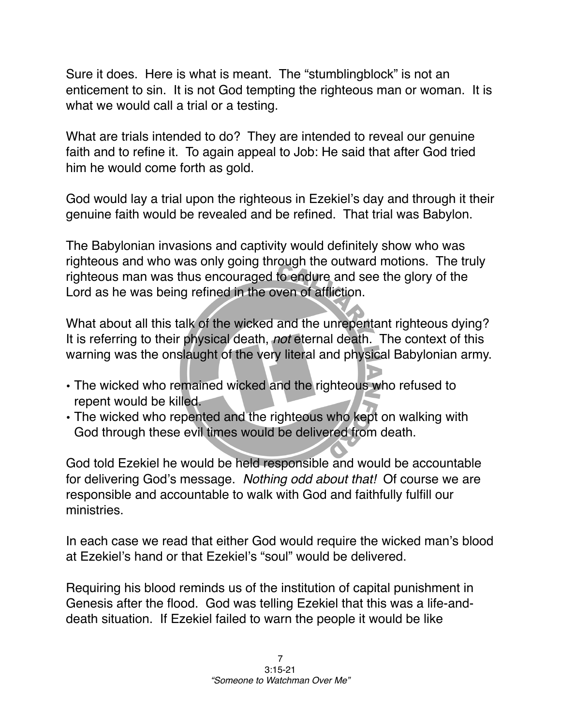Sure it does. Here is what is meant. The "stumblingblock" is not an enticement to sin. It is not God tempting the righteous man or woman. It is what we would call a trial or a testing.

What are trials intended to do? They are intended to reveal our genuine faith and to refine it. To again appeal to Job: He said that after God tried him he would come forth as gold.

God would lay a trial upon the righteous in Ezekiel's day and through it their genuine faith would be revealed and be refined. That trial was Babylon.

The Babylonian invasions and captivity would definitely show who was righteous and who was only going through the outward motions. The truly righteous man was thus encouraged to endure and see the glory of the Lord as he was being refined in the oven of affliction.

What about all this talk of the wicked and the unrepentant righteous dying? It is referring to their physical death, *not* eternal death. The context of this warning was the onslaught of the very literal and physical Babylonian army.

- The wicked who remained wicked and the righteous who refused to repent would be killed.
- The wicked who repented and the righteous who kept on walking with God through these evil times would be delivered from death.

God told Ezekiel he would be held responsible and would be accountable for delivering God's message. *Nothing odd about that!* Of course we are responsible and accountable to walk with God and faithfully fulfill our ministries.

In each case we read that either God would require the wicked man's blood at Ezekiel's hand or that Ezekiel's "soul" would be delivered.

Requiring his blood reminds us of the institution of capital punishment in Genesis after the flood. God was telling Ezekiel that this was a life-anddeath situation. If Ezekiel failed to warn the people it would be like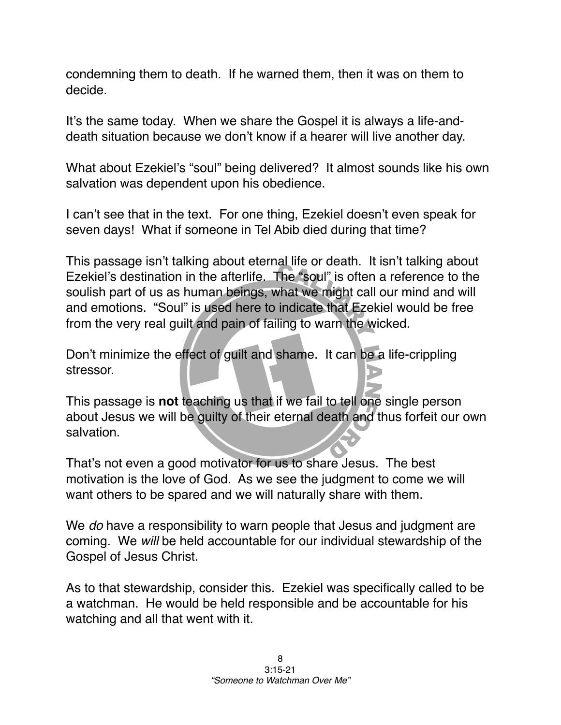condemning them to death. If he warned them, then it was on them to decide.

It's the same today. When we share the Gospel it is always a life-anddeath situation because we don't know if a hearer will live another day.

What about Ezekiel's "soul" being delivered? It almost sounds like his own salvation was dependent upon his obedience.

I can't see that in the text. For one thing, Ezekiel doesn't even speak for seven days! What if someone in Tel Abib died during that time?

This passage isn't talking about eternal life or death. It isn't talking about Ezekiel's destination in the afterlife. The "soul" is often a reference to the soulish part of us as human beings, what we might call our mind and will and emotions. "Soul" is used here to indicate that Ezekiel would be free from the very real guilt and pain of failing to warn the wicked.

Don't minimize the effect of guilt and shame. It can be a life-crippling stressor.

This passage is **not** teaching us that if we fail to tell one single person about Jesus we will be guilty of their eternal death and thus forfeit our own salvation.

That's not even a good motivator for us to share Jesus. The best motivation is the love of God. As we see the judgment to come we will want others to be spared and we will naturally share with them.

We *do* have a responsibility to warn people that Jesus and judgment are coming. We *will* be held accountable for our individual stewardship of the Gospel of Jesus Christ.

As to that stewardship, consider this. Ezekiel was specifically called to be a watchman. He would be held responsible and be accountable for his watching and all that went with it.